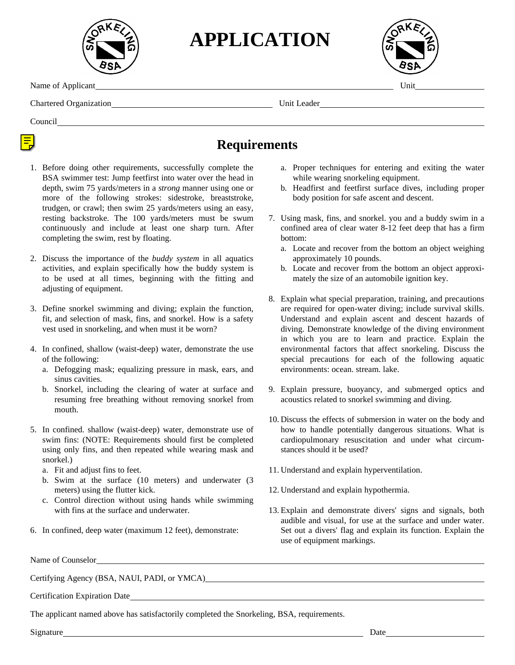

**APPLICATION**



Name of Applicant Unit

Chartered Organization Unit Leader

Council

## **Requirements**

- 1. Before doing other requirements, successfully complete the BSA swimmer test: Jump feetfirst into water over the head in depth, swim 75 yards/meters in a *strong* manner using one or more of the following strokes: sidestroke, breaststroke, trudgen, or crawl; then swim 25 yards/meters using an easy, resting backstroke. The 100 yards/meters must be swum continuously and include at least one sharp turn. After completing the swim, rest by floating.
- 2. Discuss the importance of the *buddy system* in all aquatics activities, and explain specifically how the buddy system is to be used at all times, beginning with the fitting and adjusting of equipment.
- 3. Define snorkel swimming and diving; explain the function, fit, and selection of mask, fins, and snorkel. How is a safety vest used in snorkeling, and when must it be worn?
- 4. In confined, shallow (waist-deep) water, demonstrate the use of the following:
	- a. Defogging mask; equalizing pressure in mask, ears, and sinus cavities.
	- b. Snorkel, including the clearing of water at surface and resuming free breathing without removing snorkel from mouth.
- 5. In confined. shallow (waist-deep) water, demonstrate use of swim fins: (NOTE: Requirements should first be completed using only fins, and then repeated while wearing mask and snorkel.)
	- a. Fit and adjust fins to feet.
	- b. Swim at the surface (10 meters) and underwater (3 meters) using the flutter kick.
	- c. Control direction without using hands while swimming with fins at the surface and underwater.
- 6. In confined, deep water (maximum 12 feet), demonstrate:

Name of Counselor

Certifying Agency (BSA, NAUI, PADI, or YMCA)

Certification Expiration Date

The applicant named above has satisfactorily completed the Snorkeling, BSA, requirements.

Signature Date

- a. Proper techniques for entering and exiting the water while wearing snorkeling equipment.
- b. Headfirst and feetfirst surface dives, including proper body position for safe ascent and descent.
- 7. Using mask, fins, and snorkel. you and a buddy swim in a confined area of clear water 8-12 feet deep that has a firm bottom:
	- a. Locate and recover from the bottom an object weighing approximately 10 pounds.
	- b. Locate and recover from the bottom an object approximately the size of an automobile ignition key.
- 8. Explain what special preparation, training, and precautions are required for open-water diving; include survival skills. Understand and explain ascent and descent hazards of diving. Demonstrate knowledge of the diving environment in which you are to learn and practice. Explain the environmental factors that affect snorkeling. Discuss the special precautions for each of the following aquatic environments: ocean. stream. lake.
- 9. Explain pressure, buoyancy, and submerged optics and acoustics related to snorkel swimming and diving.
- 10. Discuss the effects of submersion in water on the body and how to handle potentially dangerous situations. What is cardiopulmonary resuscitation and under what circumstances should it be used?
- 11. Understand and explain hyperventilation.
- 12. Understand and explain hypothermia.
- 13. Explain and demonstrate divers' signs and signals, both audible and visual, for use at the surface and under water. Set out a divers' flag and explain its function. Explain the use of equipment markings.